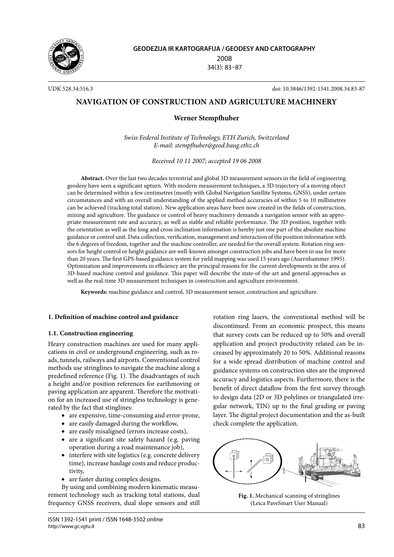

**GEODEZIJA IR KARTOGRAFIJA / GEODESY AND CARTOGRAPHY** 2008 34(3): 83–87

UDK 528.34:516.3 doi: 10.3846/1392-1541.2008.34.83-87

# **NAVIGATION OF CONSTRUCTION AND AGRICULTURE MACHINERY**

## **Werner Stempfhuber**

*Swiss Federal Institute of Technology, ETH Zurich, Switzerland E-mail: stempfhuber@geod.baug.ethz.ch*

*Received 10 11 2007; accepted 19 06 2008*

**Abstract.** Over the last two decades terrestrial and global 3D measurement sensors in the field of engineering geodesy have seen a significant upturn. With modern measurement techniques, a 3D trajectory of a moving object can be determined within a few centimetres (mostly with Global Navigation Satellite Systems, GNSS), under certain circumstances and with an overall understanding of the applied method accuracies of within 5 to 10 millimetres can be achieved (tracking total station). New application areas have been now created in the fields of construction, mining and agriculture. The guidance or control of heavy machinery demands a navigation sensor with an appropriate measurement rate and accuracy, as well as stable and reliable performance. The 3D position, together with the orientation as well as the long and cross inclination information is hereby just one part of the absolute machine guidance or control unit. Data collection, verification, management and interaction of the position information with the 6 degrees of freedom, together and the machine controller, are needed for the overall system. Rotation ring sensors for height control or height guidance are well-known amongst construction jobs and have been in use for more than 20 years. The first GPS-based guidance system for yield mapping was used 15 years ago (Auernhammer 1995). Optimization and improvements in efficiency are the principal reasons for the current developments in the area of 3D-based machine control and guidance. This paper will describe the state-of-the-art and general approaches as well as the real-time 3D measurement techniques in construction and agriculture environment.

**Keywords:** machine guidance and control, 3D measurement sensor, construction and agriculture.

## **1. Definition of machine control and guidance**

## **1.1. Construction engineering**

Heavy construction machines are used for many applications in civil or underground engineering, such as roads, tunnels, railways and airports. Conventional control methods use stringlines to navigate the machine along a predefined reference (Fig. 1). The disadvantages of such a height and/or position references for earthmoving or paving application are apparent. Therefore the motivation for an increased use of stringless technology is generated by the fact that stinglines:

- are expensive, time-consuming and error-prone,
- are easily damaged during the workflow,
- are easily misaligned (errors increase costs),
- are a significant site safety hazard (e.g. paving operation during a road maintenance job),
- interfere with site logistics (e.g. concrete delivery time), increase haulage costs and reduce productivity,
- are faster during complex designs.

By using and combining modern kinematic measurement technology such as tracking total stations, dual frequency GNSS receivers, dual slope sensors and still

ISSN 1392-1541 print / ISSN 1648-3502 online *http://www.gc.vgtu.lt*

rotation ring lasers, the conventional method will be discontinued. From an economic prospect, this means that survey costs can be reduced up to 50% and overall application and project productivity related can be increased by approximately 20 to 50%. Additional reasons for a wide spread distribution of machine control and guidance systems on construction sites are the improved accuracy and logistics aspects. Furthermore, there is the benefit of direct dataflow from the first survey through to design data (2D or 3D polylines or triangulated irregular network, TIN) up to the final grading or paving layer. The digital project documentation and the as-built check complete the application.



**Fig. 1.** Mechanical scanning of stringlines (Leica PaveSmart User Manual)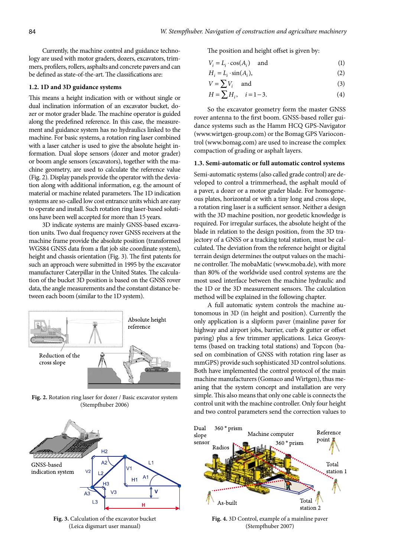Currently, the machine control and guidance technology are used with motor graders, dozers, excavators, trimmers, profilers, rollers, asphalts and concrete pavers and can be defined as state-of-the-art. The classifications are:

#### **1.2. 1D and 3D guidance systems**

This means a height indication with or without single or dual inclination information of an excavator bucket, dozer or motor grader blade. The machine operator is guided along the predefined reference. In this case, the measurement and guidance system has no hydraulics linked to the machine. For basic systems, a rotation ring laser combined with a laser catcher is used to give the absolute height information. Dual slope sensors (dozer and motor grader) or boom angle sensors (excavators), together with the machine geometry, are used to calculate the reference value (Fig. 2). Display panels provide the operator with the deviation along with additional information, e.g. the amount of material or machine related parameters. The 1D indication systems are so-called low cost entrance units which are easy to operate and install. Such rotation ring laser-based solutions have been well accepted for more than 15 years.

3D indicate systems are mainly GNSS-based excavation units. Two dual frequency rover GNSS receivers at the machine frame provide the absolute position (transformed WGS84 GNSS data from a flat job site coordinate system), height and chassis orientation (Fig. 3). The first patents for such an approach were submitted in 1995 by the excavator manufacturer Caterpillar in the United States. The calculation of the bucket 3D position is based on the GNSS rover data, the angle measurements and the constant distance between each boom (similar to the 1D system).



**Fig. 2.** Rotation ring laser for dozer / Basic excavator system (Stempfhuber 2006)



**Fig. 3.** Calculation of the excavator bucket (Leica digsmart user manual)

The position and height offset is given by:

$$
V_i = L_i \cdot \cos(A_i) \quad \text{and} \tag{1}
$$

$$
H_i = L_i \cdot \sin(A_i), \tag{2}
$$

$$
V = \sum V_i \quad \text{and} \tag{3}
$$

$$
H = \sum H_i, \quad i = 1 - 3. \tag{4}
$$

So the excavator geometry form the master GNSS rover antenna to the first boom. GNSS-based roller guidance systems such as the Hamm HCQ GPS-Navigator (www.wirtgen-group.com) or the Bomag GPS Variocontrol (www.bomag.com) are used to increase the complex compaction of grading or asphalt layers.

#### **1.3. Semi-automatic or full automatic control systems**

Semi-automatic systems (also called grade control) are developed to control a trimmerhead, the asphalt mould of a paver, a dozer or a motor grader blade. For homogeneous plates, horizontal or with a tiny long and cross slope, a rotation ring laser is a sufficient sensor. Neither a design with the 3D machine position, nor geodetic knowledge is required. For irregular surfaces, the absolute height of the blade in relation to the design position, from the 3D trajectory of a GNSS or a tracking total station, must be calculated. The deviation from the reference height or digital terrain design determines the output values on the machine controller. The mobaMatic (www.moba.de), with more than 80% of the worldwide used control systems are the most used interface between the machine hydraulic and the 1D or the 3D measurement sensors. The calculation method will be explained in the following chapter.

A full automatic system controls the machine autonomous in 3D (in height and position). Currently the only application is a slipform paver (mainline paver for highway and airport jobs, barrier, curb & gutter or offset paving) plus a few trimmer applications. Leica Geosystems (based on tracking total stations) and Topcon (based on combination of GNSS with rotation ring laser as mmGPS) provide such sophisticated 3D control solutions. Both have implemented the control protocol of the main machine manufacturers (Gomaco and Wirtgen), thus meaning that the system concept and installation are very simple. This also means that only one cable is connects the control unit with the machine controller. Only four height and two control parameters send the correction values to



**Fig. 4.** 3D Control, example of a mainline paver (Stempfhuber 2007)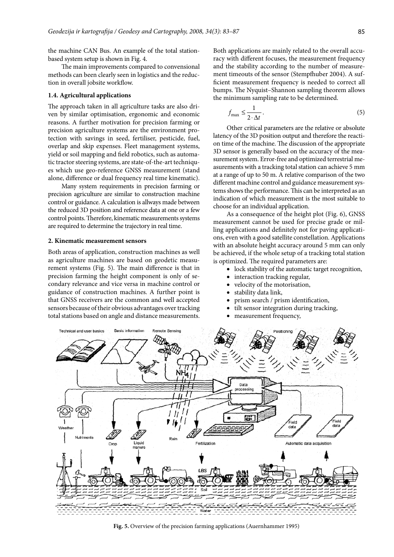the machine CAN Bus. An example of the total stationbased system setup is shown in Fig. 4.

The main improvements compared to convensional methods can been clearly seen in logistics and the reduction in overall jobsite workflow.

#### **1.4. Agricultural applications**

The approach taken in all agriculture tasks are also driven by similar optimisation, ergonomic and economic reasons. A further motivation for precision farming or precision agriculture systems are the environment protection with savings in seed, fertiliser, pesticide, fuel, overlap and skip expenses. Fleet management systems, yield or soil mapping and field robotics, such as automatic tractor steering systems, are state-of-the-art techniques which use geo-reference GNSS measurement (stand alone, difference or dual frequency real time kinematic).

Many system requirements in precision farming or precision agriculture are similar to construction machine control or guidance. A calculation is allways made between the reduced 3D position and reference data at one or a few control points. Therefore, kinematic measurements systems are required to determine the trajectory in real time.

#### **2. Kinematic measurement sensors**

Both areas of application, construction machines as well as agriculture machines are based on geodetic measurement systems (Fig. 5). The main difference is that in precision farming the height component is only of secondary relevance and vice versa in machine control or guidance of construction machines. A further point is that GNSS receivers are the common and well accepted sensors because of their obvious advantages over tracking total stations based on angle and distance measurements. Both applications are mainly related to the overall accuracy with different focuses, the measurement frequency and the stability according to the number of measurement timeouts of the sensor (Stempfhuber 2004). A sufficient measurement frequency is needed to correct all bumps. The Nyquist–Shannon sampling theorem allows the minimum sampling rate to be determined.

$$
f_{\max} \le \frac{1}{2 \cdot \Delta t} \,. \tag{5}
$$

Other critical parameters are the relative or absolute latency of the 3D position output and therefore the reaction time of the machine. The discussion of the appropriate 3D sensor is generally based on the accuracy of the measurement system. Error-free and optimized terrestrial measurements with a tracking total station can achieve 5 mm at a range of up to 50 m. A relative comparison of the two different machine control and guidance measurement systems shows the performance. This can be interpreted as an indication of which measurement is the most suitable to choose for an individual application.

As a consequence of the height plot (Fig. 6), GNSS measurement cannot be used for precise grade or milling applications and definitely not for paving applications, even with a good satellite constellation. Applications with an absolute height accuracy around 5 mm can only be achieved, if the whole setup of a tracking total station is optimized. The required parameters are:

- lock stability of the automatic target recognition,
- interaction tracking regular,
- velocity of the motorisation, •
- stability data link, •
- prism search / prism identification, •
- tilt sensor integration during tracking, •
- measurement frequency, •



**Fig. 5.** Overview of the precision farming applications (Auernhammer 1995)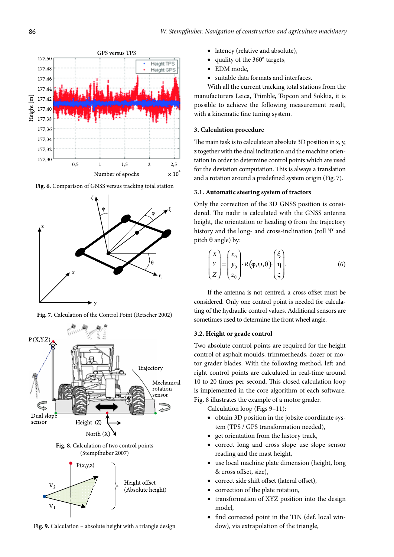

**Fig. 6.** Comparison of GNSS versus tracking total station



**Fig. 7.** Calculation of the Control Point (Retscher 2002)



**Fig. 9.** Calculation – absolute height with a triangle design

- latency (relative and absolute), •
- quality of the 360° targets, •
- EDM mode, •
- suitable data formats and interfaces. •

With all the current tracking total stations from the manufacturers Leica, Trimble, Topcon and Sokkia, it is possible to achieve the following measurement result, with a kinematic fine tuning system.

## **3. Calculation procedure**

The main task is to calculate an absolute 3D position in x, y, z together with the dual inclination and the machine orientation in order to determine control points which are used for the deviation computation. This is always a translation and a rotation around a predefined system origin (Fig. 7).

#### **3.1. Automatic steering system of tractors**

Only the correction of the 3D GNSS position is considered. The nadir is calculated with the GNSS antenna height, the orientation or heading φ from the trajectory history and the long- and cross-inclination (roll Ψ and pitch  $θ$  angle) by:

$$
\begin{pmatrix} X \ Y \ Z \end{pmatrix} = \begin{pmatrix} x_0 \ y_0 \ z_0 \end{pmatrix} \cdot R(\varphi, \psi, \theta) \begin{pmatrix} \xi \ \eta \ \zeta \end{pmatrix} . \tag{6}
$$

If the antenna is not centred, a cross offset must be considered. Only one control point is needed for calculating of the hydraulic control values. Additional sensors are sometimes used to determine the front wheel angle.

#### **3.2. Height or grade control**

Two absolute control points are required for the height control of asphalt moulds, trimmerheads, dozer or motor grader blades. With the following method, left and right control points are calculated in real-time around 10 to 20 times per second. This closed calculation loop is implemented in the core algorithm of each software. Fig. 8 illustrates the example of a motor grader.

Calculation loop (Figs 9–11):

- obtain 3D position in the jobsite coordinate system (TPS / GPS transformation needed), •
- get orientation from the history track,
- correct long and cross slope use slope sensor reading and the mast height, •
- use local machine plate dimension (height, long & cross offset, size),
- correct side shift offset (lateral offset), •
- correction of the plate rotation, •
- transformation of XYZ position into the design model, •
- find corrected point in the TIN (def. local window), via extrapolation of the triangle, •